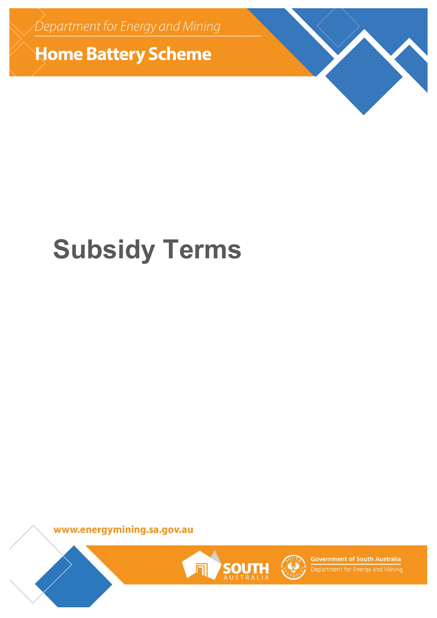Department for Energy and Mining

**Home Battery Scheme** 

# **Subsidy Terms**

www.energymining.sa.gov.au





**Government of South Australia** Department for Energy and Mining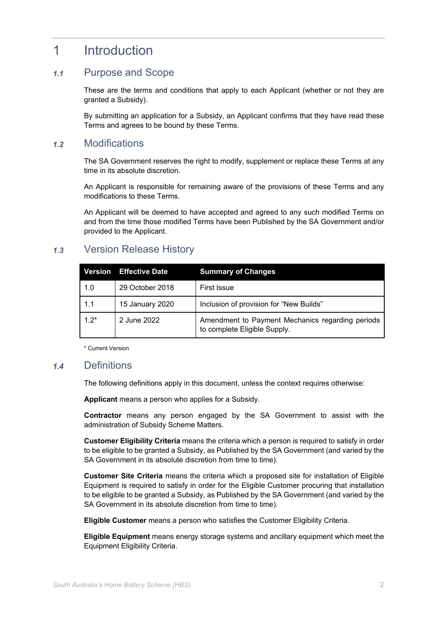### 1 Introduction

### Purpose and Scope  $1.1$

These are the terms and conditions that apply to each Applicant (whether or not they are granted a Subsidy).

By submitting an application for a Subsidy, an Applicant confirms that they have read these Terms and agrees to be bound by these Terms.

### **Modifications**  $1.2$

The SA Government reserves the right to modify, supplement or replace these Terms at any time in its absolute discretion.

An Applicant is responsible for remaining aware of the provisions of these Terms and any modifications to these Terms.

An Applicant will be deemed to have accepted and agreed to any such modified Terms on and from the time those modified Terms have been Published by the SA Government and/or provided to the Applicant.

### Version Release History  $1.3$

|        | Version Effective Date | <b>Summary of Changes</b>                                                        |
|--------|------------------------|----------------------------------------------------------------------------------|
| 1.0    | 29 October 2018        | <b>First Issue</b>                                                               |
| 1.1    | 15 January 2020        | Inclusion of provision for "New Builds"                                          |
| $1.2*$ | 2 June 2022            | Amendment to Payment Mechanics regarding periods<br>to complete Eligible Supply. |

\* Current Version

### $1.4$ **Definitions**

The following definitions apply in this document, unless the context requires otherwise:

**Applicant** means a person who applies for a Subsidy.

**Contractor** means any person engaged by the SA Government to assist with the administration of Subsidy Scheme Matters.

**Customer Eligibility Criteria** means the criteria which a person is required to satisfy in order to be eligible to be granted a Subsidy, as Published by the SA Government (and varied by the SA Government in its absolute discretion from time to time).

**Customer Site Criteria** means the criteria which a proposed site for installation of Eligible Equipment is required to satisfy in order for the Eligible Customer procuring that installation to be eligible to be granted a Subsidy, as Published by the SA Government (and varied by the SA Government in its absolute discretion from time to time).

**Eligible Customer** means a person who satisfies the Customer Eligibility Criteria.

**Eligible Equipment** means energy storage systems and ancillary equipment which meet the Equipment Eligibility Criteria.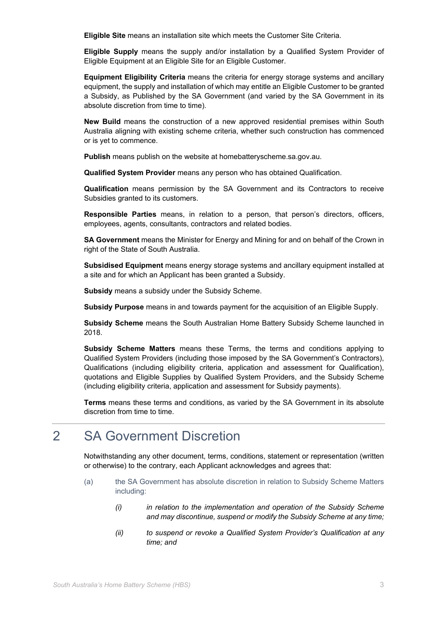**Eligible Site** means an installation site which meets the Customer Site Criteria.

**Eligible Supply** means the supply and/or installation by a Qualified System Provider of Eligible Equipment at an Eligible Site for an Eligible Customer.

**Equipment Eligibility Criteria** means the criteria for energy storage systems and ancillary equipment, the supply and installation of which may entitle an Eligible Customer to be granted a Subsidy, as Published by the SA Government (and varied by the SA Government in its absolute discretion from time to time).

**New Build** means the construction of a new approved residential premises within South Australia aligning with existing scheme criteria, whether such construction has commenced or is yet to commence.

**Publish** means publish on the website at homebatteryscheme.sa.gov.au.

**Qualified System Provider** means any person who has obtained Qualification.

**Qualification** means permission by the SA Government and its Contractors to receive Subsidies granted to its customers.

**Responsible Parties** means, in relation to a person, that person's directors, officers, employees, agents, consultants, contractors and related bodies.

**SA Government** means the Minister for Energy and Mining for and on behalf of the Crown in right of the State of South Australia.

**Subsidised Equipment** means energy storage systems and ancillary equipment installed at a site and for which an Applicant has been granted a Subsidy.

**Subsidy** means a subsidy under the Subsidy Scheme.

**Subsidy Purpose** means in and towards payment for the acquisition of an Eligible Supply.

**Subsidy Scheme** means the South Australian Home Battery Subsidy Scheme launched in 2018.

**Subsidy Scheme Matters** means these Terms, the terms and conditions applying to Qualified System Providers (including those imposed by the SA Government's Contractors), Qualifications (including eligibility criteria, application and assessment for Qualification), quotations and Eligible Supplies by Qualified System Providers, and the Subsidy Scheme (including eligibility criteria, application and assessment for Subsidy payments).

**Terms** means these terms and conditions, as varied by the SA Government in its absolute discretion from time to time.

# 2 SA Government Discretion

Notwithstanding any other document, terms, conditions, statement or representation (written or otherwise) to the contrary, each Applicant acknowledges and agrees that:

- (a) the SA Government has absolute discretion in relation to Subsidy Scheme Matters including:
	- *(i) in relation to the implementation and operation of the Subsidy Scheme and may discontinue, suspend or modify the Subsidy Scheme at any time;*
	- *(ii) to suspend or revoke a Qualified System Provider's Qualification at any time; and*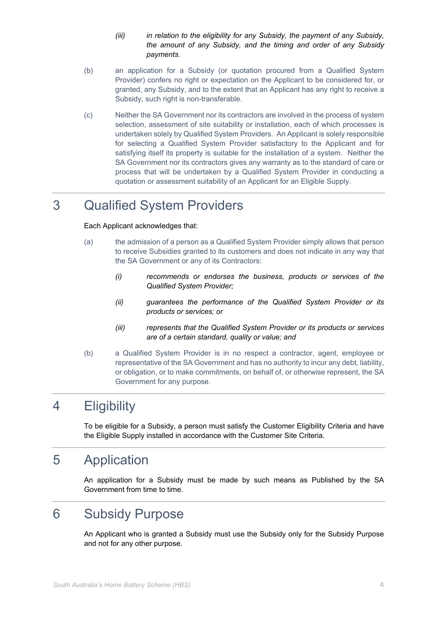- *(iii) in relation to the eligibility for any Subsidy, the payment of any Subsidy, the amount of any Subsidy, and the timing and order of any Subsidy payments.*
- (b) an application for a Subsidy (or quotation procured from a Qualified System Provider) confers no right or expectation on the Applicant to be considered for, or granted, any Subsidy, and to the extent that an Applicant has any right to receive a Subsidy, such right is non-transferable.
- (c) Neither the SA Government nor its contractors are involved in the process of system selection, assessment of site suitability or installation, each of which processes is undertaken solely by Qualified System Providers. An Applicant is solely responsible for selecting a Qualified System Provider satisfactory to the Applicant and for satisfying itself its property is suitable for the installation of a system. Neither the SA Government nor its contractors gives any warranty as to the standard of care or process that will be undertaken by a Qualified System Provider in conducting a quotation or assessment suitability of an Applicant for an Eligible Supply.

## 3 Qualified System Providers

Each Applicant acknowledges that:

- (a) the admission of a person as a Qualified System Provider simply allows that person to receive Subsidies granted to its customers and does not indicate in any way that the SA Government or any of its Contractors:
	- *(i) recommends or endorses the business, products or services of the Qualified System Provider;*
	- *(ii) guarantees the performance of the Qualified System Provider or its products or services; or*
	- *(iii) represents that the Qualified System Provider or its products or services are of a certain standard, quality or value; and*
- (b) a Qualified System Provider is in no respect a contractor, agent, employee or representative of the SA Government and has no authority to incur any debt, liability, or obligation, or to make commitments, on behalf of, or otherwise represent, the SA Government for any purpose.

# 4 Eligibility

To be eligible for a Subsidy, a person must satisfy the Customer Eligibility Criteria and have the Eligible Supply installed in accordance with the Customer Site Criteria.

### 5 Application

An application for a Subsidy must be made by such means as Published by the SA Government from time to time.

### 6 Subsidy Purpose

An Applicant who is granted a Subsidy must use the Subsidy only for the Subsidy Purpose and not for any other purpose.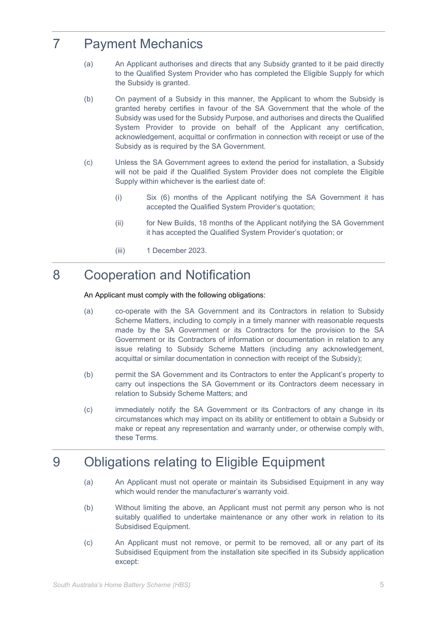# 7 Payment Mechanics

- (a) An Applicant authorises and directs that any Subsidy granted to it be paid directly to the Qualified System Provider who has completed the Eligible Supply for which the Subsidy is granted.
- (b) On payment of a Subsidy in this manner, the Applicant to whom the Subsidy is granted hereby certifies in favour of the SA Government that the whole of the Subsidy was used for the Subsidy Purpose, and authorises and directs the Qualified System Provider to provide on behalf of the Applicant any certification, acknowledgement, acquittal or confirmation in connection with receipt or use of the Subsidy as is required by the SA Government.
- (c) Unless the SA Government agrees to extend the period for installation, a Subsidy will not be paid if the Qualified System Provider does not complete the Eligible Supply within whichever is the earliest date of:
	- (i) Six (6) months of the Applicant notifying the SA Government it has accepted the Qualified System Provider's quotation;
	- (ii) for New Builds, 18 months of the Applicant notifying the SA Government it has accepted the Qualified System Provider's quotation; or
	- (iii) 1 December 2023.

## 8 Cooperation and Notification

### An Applicant must comply with the following obligations:

- (a) co-operate with the SA Government and its Contractors in relation to Subsidy Scheme Matters, including to comply in a timely manner with reasonable requests made by the SA Government or its Contractors for the provision to the SA Government or its Contractors of information or documentation in relation to any issue relating to Subsidy Scheme Matters (including any acknowledgement, acquittal or similar documentation in connection with receipt of the Subsidy);
- (b) permit the SA Government and its Contractors to enter the Applicant's property to carry out inspections the SA Government or its Contractors deem necessary in relation to Subsidy Scheme Matters; and
- (c) immediately notify the SA Government or its Contractors of any change in its circumstances which may impact on its ability or entitlement to obtain a Subsidy or make or repeat any representation and warranty under, or otherwise comply with, these Terms.

### 9 Obligations relating to Eligible Equipment

- (a) An Applicant must not operate or maintain its Subsidised Equipment in any way which would render the manufacturer's warranty void.
- (b) Without limiting the above, an Applicant must not permit any person who is not suitably qualified to undertake maintenance or any other work in relation to its Subsidised Equipment.
- (c) An Applicant must not remove, or permit to be removed, all or any part of its Subsidised Equipment from the installation site specified in its Subsidy application except: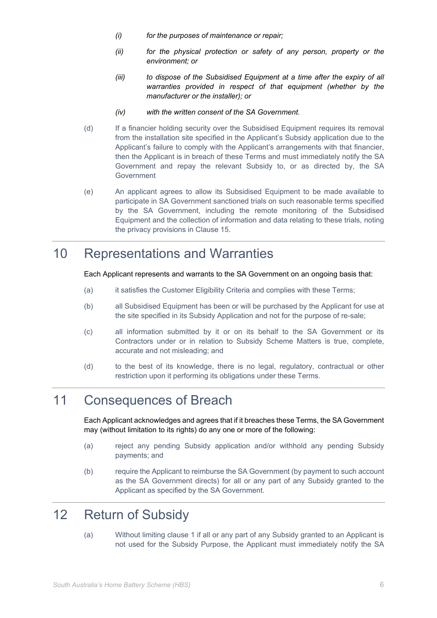- *(i) for the purposes of maintenance or repair;*
- *(ii) for the physical protection or safety of any person, property or the environment; or*
- *(iii) to dispose of the Subsidised Equipment at a time after the expiry of all warranties provided in respect of that equipment (whether by the manufacturer or the installer); or*
- *(iv) with the written consent of the SA Government.*
- (d) If a financier holding security over the Subsidised Equipment requires its removal from the installation site specified in the Applicant's Subsidy application due to the Applicant's failure to comply with the Applicant's arrangements with that financier, then the Applicant is in breach of these Terms and must immediately notify the SA Government and repay the relevant Subsidy to, or as directed by, the SA Government
- (e) An applicant agrees to allow its Subsidised Equipment to be made available to participate in SA Government sanctioned trials on such reasonable terms specified by the SA Government, including the remote monitoring of the Subsidised Equipment and the collection of information and data relating to these trials, noting the privacy provisions in Clause 15.

### 10 Representations and Warranties

Each Applicant represents and warrants to the SA Government on an ongoing basis that:

- (a) it satisfies the Customer Eligibility Criteria and complies with these Terms;
- (b) all Subsidised Equipment has been or will be purchased by the Applicant for use at the site specified in its Subsidy Application and not for the purpose of re-sale;
- (c) all information submitted by it or on its behalf to the SA Government or its Contractors under or in relation to Subsidy Scheme Matters is true, complete, accurate and not misleading; and
- (d) to the best of its knowledge, there is no legal, regulatory, contractual or other restriction upon it performing its obligations under these Terms.

### 11 Consequences of Breach

Each Applicant acknowledges and agrees that if it breaches these Terms, the SA Government may (without limitation to its rights) do any one or more of the following:

- (a) reject any pending Subsidy application and/or withhold any pending Subsidy payments; and
- (b) require the Applicant to reimburse the SA Government (by payment to such account as the SA Government directs) for all or any part of any Subsidy granted to the Applicant as specified by the SA Government.

### 12 Return of Subsidy

(a) Without limiting clause 1 if all or any part of any Subsidy granted to an Applicant is not used for the Subsidy Purpose, the Applicant must immediately notify the SA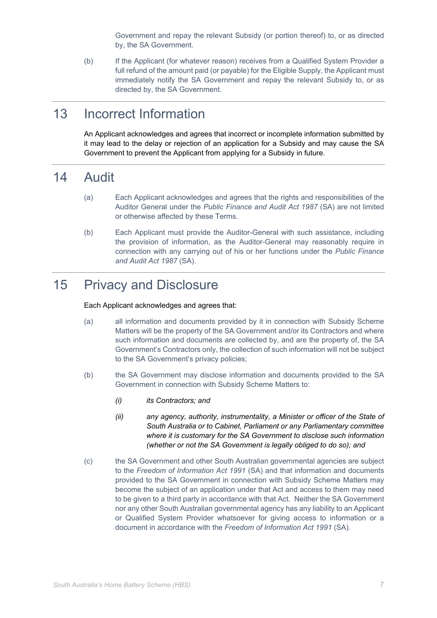Government and repay the relevant Subsidy (or portion thereof) to, or as directed by, the SA Government.

(b) If the Applicant (for whatever reason) receives from a Qualified System Provider a full refund of the amount paid (or payable) for the Eligible Supply, the Applicant must immediately notify the SA Government and repay the relevant Subsidy to, or as directed by, the SA Government.

## 13 Incorrect Information

An Applicant acknowledges and agrees that incorrect or incomplete information submitted by it may lead to the delay or rejection of an application for a Subsidy and may cause the SA Government to prevent the Applicant from applying for a Subsidy in future.

### 14 Audit

- (a) Each Applicant acknowledges and agrees that the rights and responsibilities of the Auditor General under the *Public Finance and Audit Act 1987* (SA) are not limited or otherwise affected by these Terms.
- (b) Each Applicant must provide the Auditor-General with such assistance, including the provision of information, as the Auditor-General may reasonably require in connection with any carrying out of his or her functions under the *Public Finance and Audit Act 1987* (SA).

### 15 Privacy and Disclosure

### Each Applicant acknowledges and agrees that:

- (a) all information and documents provided by it in connection with Subsidy Scheme Matters will be the property of the SA Government and/or its Contractors and where such information and documents are collected by, and are the property of, the SA Government's Contractors only, the collection of such information will not be subject to the SA Government's privacy policies;
- (b) the SA Government may disclose information and documents provided to the SA Government in connection with Subsidy Scheme Matters to:
	- *(i) its Contractors; and*
	- *(ii) any agency, authority, instrumentality, a Minister or officer of the State of South Australia or to Cabinet, Parliament or any Parliamentary committee where it is customary for the SA Government to disclose such information (whether or not the SA Government is legally obliged to do so); and*
- (c) the SA Government and other South Australian governmental agencies are subject to the *Freedom of Information Act 1991* (SA) and that information and documents provided to the SA Government in connection with Subsidy Scheme Matters may become the subject of an application under that Act and access to them may need to be given to a third party in accordance with that Act. Neither the SA Government nor any other South Australian governmental agency has any liability to an Applicant or Qualified System Provider whatsoever for giving access to information or a document in accordance with the *Freedom of Information Act 1991* (SA).